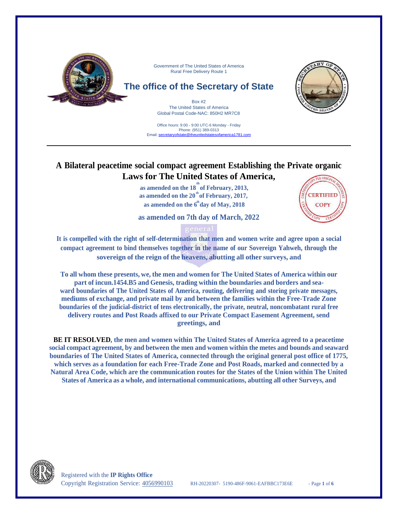

Office hours: 9:00 - 9:00 UTC-6 Monday - Friday Phone: (951) 389-0313 Email: [secretaryofstate@theunitedstatesofamerica1781.com](mailto:secretaryofstate@theunitedstatesofamerica1781.com)

# **A Bilateral peacetime social compact agreement Establishing the Private organic Laws for The United States of America,**

**th as amended on the 20 of February, 2017, th as amended on the 6 day of May, 2018 th as amended on the 18 of February, 2013,**

**as amended on 7th day of March, 2022**



It is compelled with the right of self-determination that men and women write and agree upon a social **compact agreement to bind themselves together in the name of our Sovereign Yahweh, through the sovereign of the reign of the heavens, abutting all other surveys, and**

**To all whom these presents, we, the men and women for The United States of America within our part of incun.1454.B5 and Genesis, trading within the boundaries and borders and seaward boundaries of The United States of America, routing, delivering and storing private messages, mediums of exchange, and private mail by and between the families within the Free-Trade Zone boundaries of the judicial-district of tens electronically, the private, neutral, noncombatant rural free delivery routes and Post Roads affixed to our Private Compact Easement Agreement, send greetings, and**

**BE IT RESOLVED, the men and women within The United States of America agreed to a peacetime social compact agreement, by and between the men and women within the metes and bounds and seaward boundaries of The United States of America, connected through the original general post office of 1775, which serves as a foundation for each Free-Trade Zone and Post Roads, marked and connected by a Natural Area Code, which are the communication routes for the States of the Union within The United States of America as a whole, and international communications, abutting all other Surveys, and**

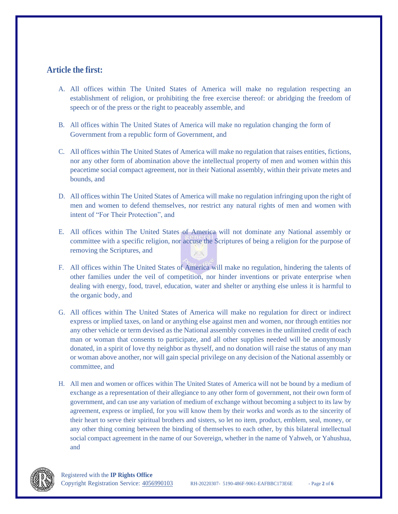# **Article the first:**

- A. All offices within The United States of America will make no regulation respecting an establishment of religion, or prohibiting the free exercise thereof: or abridging the freedom of speech or of the press or the right to peaceably assemble, and
- B. All offices within The United States of America will make no regulation changing the form of Government from a republic form of Government, and
- C. All offices within The United States of America will make no regulation that raises entities, fictions, nor any other form of abomination above the intellectual property of men and women within this peacetime social compact agreement, nor in their National assembly, within their private metes and bounds, and
- D. All offices within The United States of America will make no regulation infringing upon the right of men and women to defend themselves, nor restrict any natural rights of men and women with intent of "For Their Protection", and
- E. All offices within The United States of America will not dominate any National assembly or committee with a specific religion, nor accuse the Scriptures of being a religion for the purpose of removing the Scriptures, and
- F. All offices within The United States of America will make no regulation, hindering the talents of other families under the veil of competition, nor hinder inventions or private enterprise when dealing with energy, food, travel, education, water and shelter or anything else unless it is harmful to the organic body, and
- G. All offices within The United States of America will make no regulation for direct or indirect express or implied taxes, on land or anything else against men and women, nor through entities nor any other vehicle or term devised as the National assembly convenes in the unlimited credit of each man or woman that consents to participate, and all other supplies needed will be anonymously donated, in a spirit of love thy neighbor as thyself, and no donation will raise the status of any man or woman above another, nor will gain special privilege on any decision of the National assembly or committee, and
- H. All men and women or offices within The United States of America will not be bound by a medium of exchange as a representation of their allegiance to any other form of government, not their own form of government, and can use any variation of medium of exchange without becoming a subject to its law by agreement, express or implied, for you will know them by their works and words as to the sincerity of their heart to serve their spiritual brothers and sisters, so let no item, product, emblem, seal, money, or any other thing coming between the binding of themselves to each other, by this bilateral intellectual social compact agreement in the name of our Sovereign, whether in the name of Yahweh, or Yahushua, and

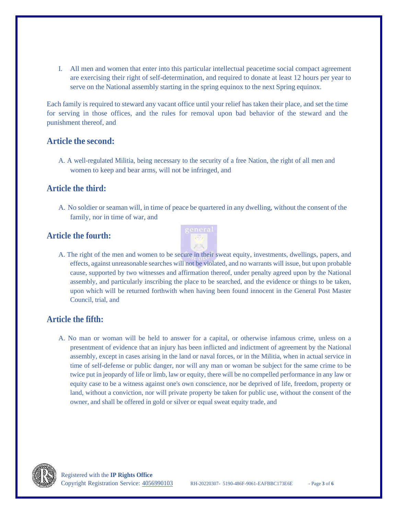I. All men and women that enter into this particular intellectual peacetime social compact agreement are exercising their right of self-determination, and required to donate at least 12 hours per year to serve on the National assembly starting in the spring equinox to the next Spring equinox.

Each family is required to steward any vacant office until your relief has taken their place, and set the time for serving in those offices, and the rules for removal upon bad behavior of the steward and the punishment thereof, and

### **Article the second:**

A. A well-regulated Militia, being necessary to the security of a free Nation, the right of all men and women to keep and bear arms, will not be infringed, and

### **Article the third:**

A. No soldier or seaman will, in time of peace be quartered in any dwelling, without the consent of the family, nor in time of war, and

### **Article the fourth:**



A. The right of the men and women to be secure in their sweat equity, investments, dwellings, papers, and effects, against unreasonable searches will not be violated, and no warrants will issue, but upon probable cause, supported by two witnesses and affirmation thereof, under penalty agreed upon by the National assembly, and particularly inscribing the place to be searched, and the evidence or things to be taken, upon which will be returned forthwith when having been found innocent in the General Post Master Council, trial, and

## **Article the fifth:**

A. No man or woman will be held to answer for a capital, or otherwise infamous crime, unless on a presentment of evidence that an injury has been inflicted and indictment of agreement by the National assembly, except in cases arising in the land or naval forces, or in the Militia, when in actual service in time of self-defense or public danger, nor will any man or woman be subject for the same crime to be twice put in jeopardy of life or limb, law or equity, there will be no compelled performance in any law or equity case to be a witness against one's own conscience, nor be deprived of life, freedom, property or land, without a conviction, nor will private property be taken for public use, without the consent of the owner, and shall be offered in gold or silver or equal sweat equity trade, and

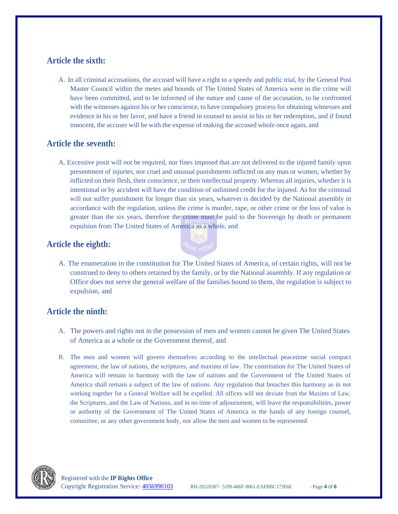# **Article the sixth:**

A. In all criminal accusations, the accused will have a right to a speedy and public trial, by the General Post Master Council within the metes and bounds of The United States of America were in the crime will have been committed, and to be informed of the nature and cause of the accusation, to be confronted with the witnesses against his or her conscience, to have compulsory process for obtaining witnesses and evidence in his or her favor, and have a friend in counsel to assist in his or her redemption, and if found innocent, the accuser will be with the expense of making the accused whole once again, and

## **Article the seventh:**

A. Excessive posit will not be required, nor fines imposed that are not delivered to the injured family upon presentment of injuries, nor cruel and unusual punishments inflicted on any man or women, whether by inflicted on their flesh, their conscience, or their intellectual property. Whereas all injuries, whether it is intentional or by accident will have the condition of unlimited credit for the injured. As for the criminal will not suffer punishment for longer than six years, whatever is decided by the National assembly in accordance with the regulation, unless the crime is murder, rape, or other crime or the loss of value is greater than the six years, therefore the crime must be paid to the Sovereign by death or permanent expulsion from The United States of America as a whole, and

# **Article the eighth:**



A. The enumeration in the constitution for The United States of America, of certain rights, will not be construed to deny to others retained by the family, or by the National assembly. If any regulation or Office does not serve the general welfare of the families bound to them, the regulation is subject to expulsion, and

# **Article the ninth:**

- A. The powers and rights not in the possession of men and women cannot be given The United States of America as a whole or the Government thereof, and
- B. The men and women will govern themselves according to the intellectual peacetime social compact agreement, the law of nations, the scriptures, and maxims of law. The constitution for The United States of America will remain in harmony with the law of nations and the Government of The United States of America shall remain a subject of the law of nations. Any regulation that breaches this harmony as in not working together for a General Welfare will be expelled. All offices will not deviate from the Maxims of Law, the Scriptures, and the Law of Nations, and in no time of adjournment, will leave the responsibilities, power or authority of the Government of The United States of America in the hands of any foreign counsel, committee, or any other government body, nor allow the men and women to be represented

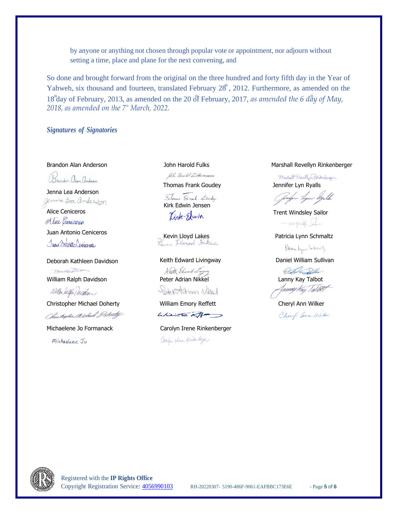by anyone or anything not chosen through popular vote or appointment, nor adjourn without setting a time, place and plane for the next convening, and

Yahweh, six thousand and fourteen, translated February  $28<sup>h</sup>$ , 2012. Furthermore, as amended on the 18<sup>th</sup>day of February, 2013, as amended on the 20 of February, 2017, *as amended the 6 day of May*, So done and brought forward from the original on the three hundred and forty fifth day in the Year of *2018, as amended on the 7 th March, 2022.*

*Signatures of Signatories*

Brandon alam anderson

Jenna Lea Anderson germa Lea anderson

Alice Ceniceros Alice Cenicoros Juan Antonio Ceniceros Juan monto Conjectors,

Deborah Kathleen Davidson Horalt Kelled Desdeem William Ralph Davidson **Peter Adrian Nikkel William Ralph Davidson** Peter Adrian Nikkel **Lanny Kay Talbot** 

Willen Delfer Durilin

Chustophe Michael Pohirty

Michaelene Jo

Joh Harold Tulker Trustee

Thomas Frank Goudey Jennifer Lyn Ryalls

Showns Stock Louday Kirk Edwin Jensen

Kevin Lloyd Lakes<br>Revin Lloyd Jakes

Keith Edward Livingway **Daniel William Sullivan** Keith Edward Zaying Pates Adrian Nikled

Christopher Michael Doherty **William Emory Reffett** Cheryl Ann Wilker  $\text{white}$ 

Michaelene Jo Formanack Carolyn Irene Rinkenberger Carolyn Hrene Runkenberger

#### Brandon Alan Anderson The Summan John Harold Fulks Marshall Revellyn Rinkenberger

Marshall Theodyn Tinkenburger

Jungen Lym-Vyalle

Trent Windsley Sailor To Windy July

Patrick Lynn Delmolty

OD Delm F*anney Hais Talbét* 

Cheryl ann With